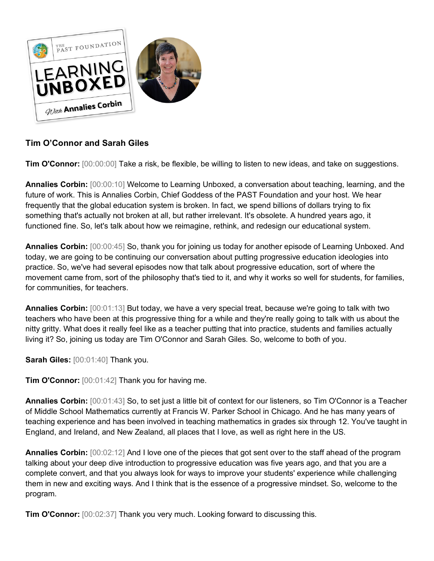

## **Tim O'Connor and Sarah Giles**

**Tim O'Connor:** [00:00:00] Take a risk, be flexible, be willing to listen to new ideas, and take on suggestions.

**Annalies Corbin:** [00:00:10] Welcome to Learning Unboxed, a conversation about teaching, learning, and the future of work. This is Annalies Corbin, Chief Goddess of the PAST Foundation and your host. We hear frequently that the global education system is broken. In fact, we spend billions of dollars trying to fix something that's actually not broken at all, but rather irrelevant. It's obsolete. A hundred years ago, it functioned fine. So, let's talk about how we reimagine, rethink, and redesign our educational system.

**Annalies Corbin:** [00:00:45] So, thank you for joining us today for another episode of Learning Unboxed. And today, we are going to be continuing our conversation about putting progressive education ideologies into practice. So, we've had several episodes now that talk about progressive education, sort of where the movement came from, sort of the philosophy that's tied to it, and why it works so well for students, for families, for communities, for teachers.

**Annalies Corbin:** [00:01:13] But today, we have a very special treat, because we're going to talk with two teachers who have been at this progressive thing for a while and they're really going to talk with us about the nitty gritty. What does it really feel like as a teacher putting that into practice, students and families actually living it? So, joining us today are Tim O'Connor and Sarah Giles. So, welcome to both of you.

**Sarah Giles:** [00:01:40] Thank you.

**Tim O'Connor:** [00:01:42] Thank you for having me.

**Annalies Corbin:** [00:01:43] So, to set just a little bit of context for our listeners, so Tim O'Connor is a Teacher of Middle School Mathematics currently at Francis W. Parker School in Chicago. And he has many years of teaching experience and has been involved in teaching mathematics in grades six through 12. You've taught in England, and Ireland, and New Zealand, all places that I love, as well as right here in the US.

**Annalies Corbin:** [00:02:12] And I love one of the pieces that got sent over to the staff ahead of the program talking about your deep dive introduction to progressive education was five years ago, and that you are a complete convert, and that you always look for ways to improve your students' experience while challenging them in new and exciting ways. And I think that is the essence of a progressive mindset. So, welcome to the program.

**Tim O'Connor:** [00:02:37] Thank you very much. Looking forward to discussing this.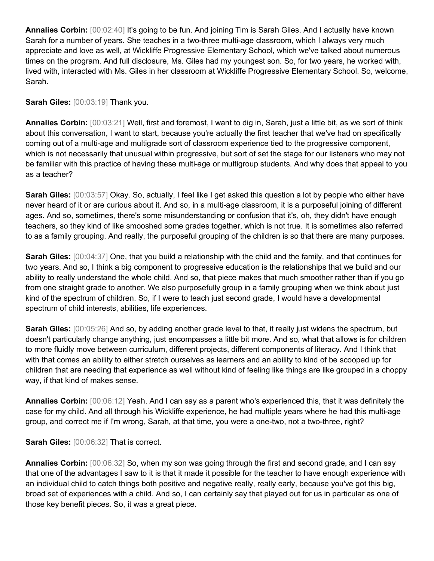**Annalies Corbin:** [00:02:40] It's going to be fun. And joining Tim is Sarah Giles. And I actually have known Sarah for a number of years. She teaches in a two-three multi-age classroom, which I always very much appreciate and love as well, at Wickliffe Progressive Elementary School, which we've talked about numerous times on the program. And full disclosure, Ms. Giles had my youngest son. So, for two years, he worked with, lived with, interacted with Ms. Giles in her classroom at Wickliffe Progressive Elementary School. So, welcome, Sarah.

**Sarah Giles:** [00:03:19] Thank you.

**Annalies Corbin:** [00:03:21] Well, first and foremost, I want to dig in, Sarah, just a little bit, as we sort of think about this conversation, I want to start, because you're actually the first teacher that we've had on specifically coming out of a multi-age and multigrade sort of classroom experience tied to the progressive component, which is not necessarily that unusual within progressive, but sort of set the stage for our listeners who may not be familiar with this practice of having these multi-age or multigroup students. And why does that appeal to you as a teacher?

**Sarah Giles:** [00:03:57] Okay. So, actually, I feel like I get asked this question a lot by people who either have never heard of it or are curious about it. And so, in a multi-age classroom, it is a purposeful joining of different ages. And so, sometimes, there's some misunderstanding or confusion that it's, oh, they didn't have enough teachers, so they kind of like smooshed some grades together, which is not true. It is sometimes also referred to as a family grouping. And really, the purposeful grouping of the children is so that there are many purposes.

**Sarah Giles:** [00:04:37] One, that you build a relationship with the child and the family, and that continues for two years. And so, I think a big component to progressive education is the relationships that we build and our ability to really understand the whole child. And so, that piece makes that much smoother rather than if you go from one straight grade to another. We also purposefully group in a family grouping when we think about just kind of the spectrum of children. So, if I were to teach just second grade, I would have a developmental spectrum of child interests, abilities, life experiences.

**Sarah Giles:** [00:05:26] And so, by adding another grade level to that, it really just widens the spectrum, but doesn't particularly change anything, just encompasses a little bit more. And so, what that allows is for children to more fluidly move between curriculum, different projects, different components of literacy. And I think that with that comes an ability to either stretch ourselves as learners and an ability to kind of be scooped up for children that are needing that experience as well without kind of feeling like things are like grouped in a choppy way, if that kind of makes sense.

**Annalies Corbin:** [00:06:12] Yeah. And I can say as a parent who's experienced this, that it was definitely the case for my child. And all through his Wickliffe experience, he had multiple years where he had this multi-age group, and correct me if I'm wrong, Sarah, at that time, you were a one-two, not a two-three, right?

**Sarah Giles:** [00:06:32] That is correct.

**Annalies Corbin:** [00:06:32] So, when my son was going through the first and second grade, and I can say that one of the advantages I saw to it is that it made it possible for the teacher to have enough experience with an individual child to catch things both positive and negative really, really early, because you've got this big, broad set of experiences with a child. And so, I can certainly say that played out for us in particular as one of those key benefit pieces. So, it was a great piece.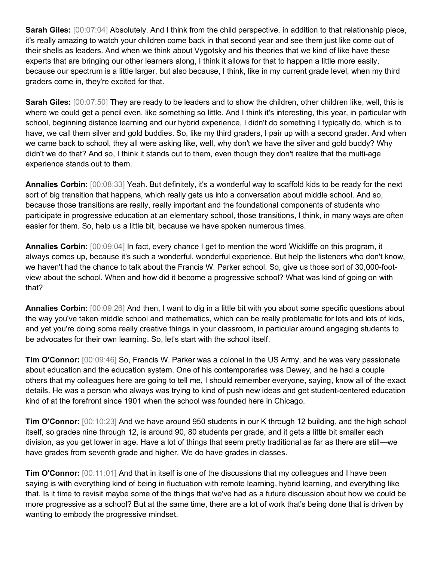**Sarah Giles:**  $[00:07:04]$  Absolutely. And I think from the child perspective, in addition to that relationship piece, it's really amazing to watch your children come back in that second year and see them just like come out of their shells as leaders. And when we think about Vygotsky and his theories that we kind of like have these experts that are bringing our other learners along, I think it allows for that to happen a little more easily, because our spectrum is a little larger, but also because, I think, like in my current grade level, when my third graders come in, they're excited for that.

**Sarah Giles:** [00:07:50] They are ready to be leaders and to show the children, other children like, well, this is where we could get a pencil even, like something so little. And I think it's interesting, this year, in particular with school, beginning distance learning and our hybrid experience, I didn't do something I typically do, which is to have, we call them silver and gold buddies. So, like my third graders, I pair up with a second grader. And when we came back to school, they all were asking like, well, why don't we have the silver and gold buddy? Why didn't we do that? And so, I think it stands out to them, even though they don't realize that the multi-age experience stands out to them.

**Annalies Corbin:** [00:08:33] Yeah. But definitely, it's a wonderful way to scaffold kids to be ready for the next sort of big transition that happens, which really gets us into a conversation about middle school. And so, because those transitions are really, really important and the foundational components of students who participate in progressive education at an elementary school, those transitions, I think, in many ways are often easier for them. So, help us a little bit, because we have spoken numerous times.

**Annalies Corbin:**  $[00:09:04]$  In fact, every chance I get to mention the word Wickliffe on this program, it always comes up, because it's such a wonderful, wonderful experience. But help the listeners who don't know, we haven't had the chance to talk about the Francis W. Parker school. So, give us those sort of 30,000-footview about the school. When and how did it become a progressive school? What was kind of going on with that?

**Annalies Corbin:** [00:09:26] And then, I want to dig in a little bit with you about some specific questions about the way you've taken middle school and mathematics, which can be really problematic for lots and lots of kids, and yet you're doing some really creative things in your classroom, in particular around engaging students to be advocates for their own learning. So, let's start with the school itself.

**Tim O'Connor:** [00:09:46] So, Francis W. Parker was a colonel in the US Army, and he was very passionate about education and the education system. One of his contemporaries was Dewey, and he had a couple others that my colleagues here are going to tell me, I should remember everyone, saying, know all of the exact details. He was a person who always was trying to kind of push new ideas and get student-centered education kind of at the forefront since 1901 when the school was founded here in Chicago.

**Tim O'Connor:** [00:10:23] And we have around 950 students in our K through 12 building, and the high school itself, so grades nine through 12, is around 90, 80 students per grade, and it gets a little bit smaller each division, as you get lower in age. Have a lot of things that seem pretty traditional as far as there are still—we have grades from seventh grade and higher. We do have grades in classes.

**Tim O'Connor:** [00:11:01] And that in itself is one of the discussions that my colleagues and I have been saying is with everything kind of being in fluctuation with remote learning, hybrid learning, and everything like that. Is it time to revisit maybe some of the things that we've had as a future discussion about how we could be more progressive as a school? But at the same time, there are a lot of work that's being done that is driven by wanting to embody the progressive mindset.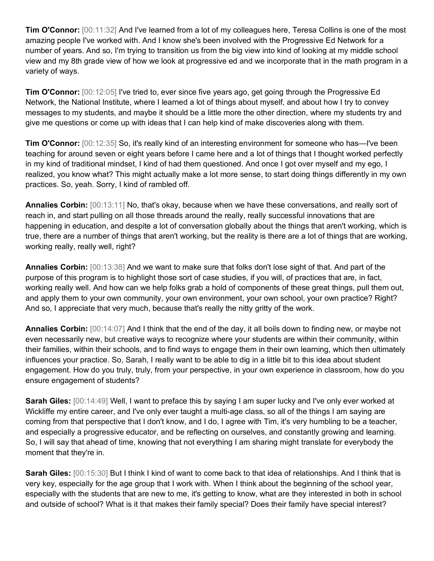**Tim O'Connor:** [00:11:32] And I've learned from a lot of my colleagues here, Teresa Collins is one of the most amazing people I've worked with. And I know she's been involved with the Progressive Ed Network for a number of years. And so, I'm trying to transition us from the big view into kind of looking at my middle school view and my 8th grade view of how we look at progressive ed and we incorporate that in the math program in a variety of ways.

**Tim O'Connor:** [00:12:05] I've tried to, ever since five years ago, get going through the Progressive Ed Network, the National Institute, where I learned a lot of things about myself, and about how I try to convey messages to my students, and maybe it should be a little more the other direction, where my students try and give me questions or come up with ideas that I can help kind of make discoveries along with them.

**Tim O'Connor:** [00:12:35] So, it's really kind of an interesting environment for someone who has—I've been teaching for around seven or eight years before I came here and a lot of things that I thought worked perfectly in my kind of traditional mindset, I kind of had them questioned. And once I got over myself and my ego, I realized, you know what? This might actually make a lot more sense, to start doing things differently in my own practices. So, yeah. Sorry, I kind of rambled off.

**Annalies Corbin:** [00:13:11] No, that's okay, because when we have these conversations, and really sort of reach in, and start pulling on all those threads around the really, really successful innovations that are happening in education, and despite a lot of conversation globally about the things that aren't working, which is true, there are a number of things that aren't working, but the reality is there are a lot of things that are working, working really, really well, right?

**Annalies Corbin:** [00:13:38] And we want to make sure that folks don't lose sight of that. And part of the purpose of this program is to highlight those sort of case studies, if you will, of practices that are, in fact, working really well. And how can we help folks grab a hold of components of these great things, pull them out, and apply them to your own community, your own environment, your own school, your own practice? Right? And so, I appreciate that very much, because that's really the nitty gritty of the work.

**Annalies Corbin:** [00:14:07] And I think that the end of the day, it all boils down to finding new, or maybe not even necessarily new, but creative ways to recognize where your students are within their community, within their families, within their schools, and to find ways to engage them in their own learning, which then ultimately influences your practice. So, Sarah, I really want to be able to dig in a little bit to this idea about student engagement. How do you truly, truly, from your perspective, in your own experience in classroom, how do you ensure engagement of students?

**Sarah Giles:** [00:14:49] Well, I want to preface this by saying I am super lucky and I've only ever worked at Wickliffe my entire career, and I've only ever taught a multi-age class, so all of the things I am saying are coming from that perspective that I don't know, and I do, I agree with Tim, it's very humbling to be a teacher, and especially a progressive educator, and be reflecting on ourselves, and constantly growing and learning. So, I will say that ahead of time, knowing that not everything I am sharing might translate for everybody the moment that they're in.

**Sarah Giles:** [00:15:30] But I think I kind of want to come back to that idea of relationships. And I think that is very key, especially for the age group that I work with. When I think about the beginning of the school year, especially with the students that are new to me, it's getting to know, what are they interested in both in school and outside of school? What is it that makes their family special? Does their family have special interest?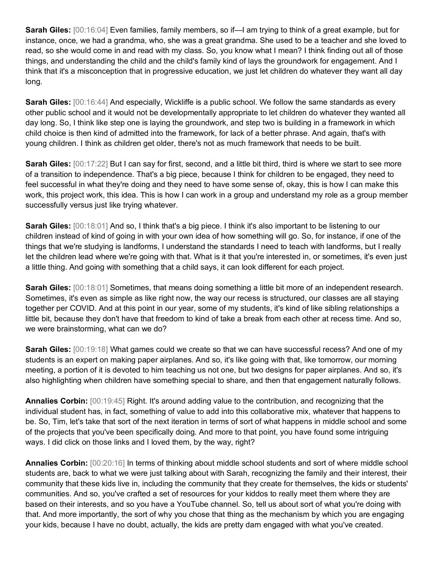**Sarah Giles:** [00:16:04] Even families, family members, so if—I am trying to think of a great example, but for instance, once, we had a grandma, who, she was a great grandma. She used to be a teacher and she loved to read, so she would come in and read with my class. So, you know what I mean? I think finding out all of those things, and understanding the child and the child's family kind of lays the groundwork for engagement. And I think that it's a misconception that in progressive education, we just let children do whatever they want all day long.

**Sarah Giles:** [00:16:44] And especially, Wickliffe is a public school. We follow the same standards as every other public school and it would not be developmentally appropriate to let children do whatever they wanted all day long. So, I think like step one is laying the groundwork, and step two is building in a framework in which child choice is then kind of admitted into the framework, for lack of a better phrase. And again, that's with young children. I think as children get older, there's not as much framework that needs to be built.

**Sarah Giles:** [00:17:22] But I can say for first, second, and a little bit third, third is where we start to see more of a transition to independence. That's a big piece, because I think for children to be engaged, they need to feel successful in what they're doing and they need to have some sense of, okay, this is how I can make this work, this project work, this idea. This is how I can work in a group and understand my role as a group member successfully versus just like trying whatever.

**Sarah Giles:** [00:18:01] And so, I think that's a big piece. I think it's also important to be listening to our children instead of kind of going in with your own idea of how something will go. So, for instance, if one of the things that we're studying is landforms, I understand the standards I need to teach with landforms, but I really let the children lead where we're going with that. What is it that you're interested in, or sometimes, it's even just a little thing. And going with something that a child says, it can look different for each project.

**Sarah Giles:** [00:18:01] Sometimes, that means doing something a little bit more of an independent research. Sometimes, it's even as simple as like right now, the way our recess is structured, our classes are all staying together per COVID. And at this point in our year, some of my students, it's kind of like sibling relationships a little bit, because they don't have that freedom to kind of take a break from each other at recess time. And so, we were brainstorming, what can we do?

**Sarah Giles:** [00:19:18] What games could we create so that we can have successful recess? And one of my students is an expert on making paper airplanes. And so, it's like going with that, like tomorrow, our morning meeting, a portion of it is devoted to him teaching us not one, but two designs for paper airplanes. And so, it's also highlighting when children have something special to share, and then that engagement naturally follows.

**Annalies Corbin:** [00:19:45] Right. It's around adding value to the contribution, and recognizing that the individual student has, in fact, something of value to add into this collaborative mix, whatever that happens to be. So, Tim, let's take that sort of the next iteration in terms of sort of what happens in middle school and some of the projects that you've been specifically doing. And more to that point, you have found some intriguing ways. I did click on those links and I loved them, by the way, right?

**Annalies Corbin:** [00:20:16] In terms of thinking about middle school students and sort of where middle school students are, back to what we were just talking about with Sarah, recognizing the family and their interest, their community that these kids live in, including the community that they create for themselves, the kids or students' communities. And so, you've crafted a set of resources for your kiddos to really meet them where they are based on their interests, and so you have a YouTube channel. So, tell us about sort of what you're doing with that. And more importantly, the sort of why you chose that thing as the mechanism by which you are engaging your kids, because I have no doubt, actually, the kids are pretty darn engaged with what you've created.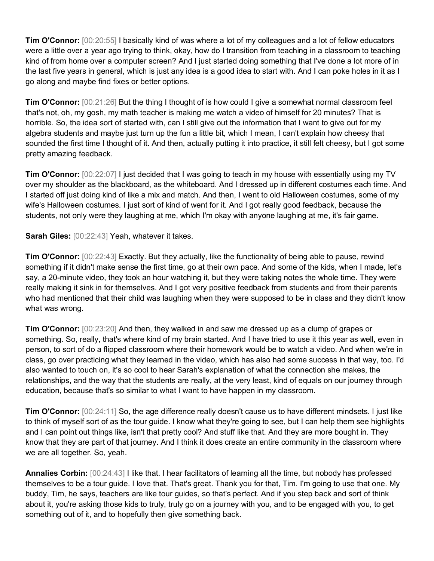**Tim O'Connor:** [00:20:55] I basically kind of was where a lot of my colleagues and a lot of fellow educators were a little over a year ago trying to think, okay, how do I transition from teaching in a classroom to teaching kind of from home over a computer screen? And I just started doing something that I've done a lot more of in the last five years in general, which is just any idea is a good idea to start with. And I can poke holes in it as I go along and maybe find fixes or better options.

**Tim O'Connor:** [00:21:26] But the thing I thought of is how could I give a somewhat normal classroom feel that's not, oh, my gosh, my math teacher is making me watch a video of himself for 20 minutes? That is horrible. So, the idea sort of started with, can I still give out the information that I want to give out for my algebra students and maybe just turn up the fun a little bit, which I mean, I can't explain how cheesy that sounded the first time I thought of it. And then, actually putting it into practice, it still felt cheesy, but I got some pretty amazing feedback.

**Tim O'Connor:** [00:22:07] I just decided that I was going to teach in my house with essentially using my TV over my shoulder as the blackboard, as the whiteboard. And I dressed up in different costumes each time. And I started off just doing kind of like a mix and match. And then, I went to old Halloween costumes, some of my wife's Halloween costumes. I just sort of kind of went for it. And I got really good feedback, because the students, not only were they laughing at me, which I'm okay with anyone laughing at me, it's fair game.

**Sarah Giles:** [00:22:43] Yeah, whatever it takes.

**Tim O'Connor:** [00:22:43] Exactly. But they actually, like the functionality of being able to pause, rewind something if it didn't make sense the first time, go at their own pace. And some of the kids, when I made, let's say, a 20-minute video, they took an hour watching it, but they were taking notes the whole time. They were really making it sink in for themselves. And I got very positive feedback from students and from their parents who had mentioned that their child was laughing when they were supposed to be in class and they didn't know what was wrong.

**Tim O'Connor:** [00:23:20] And then, they walked in and saw me dressed up as a clump of grapes or something. So, really, that's where kind of my brain started. And I have tried to use it this year as well, even in person, to sort of do a flipped classroom where their homework would be to watch a video. And when we're in class, go over practicing what they learned in the video, which has also had some success in that way, too. I'd also wanted to touch on, it's so cool to hear Sarah's explanation of what the connection she makes, the relationships, and the way that the students are really, at the very least, kind of equals on our journey through education, because that's so similar to what I want to have happen in my classroom.

**Tim O'Connor:** [00:24:11] So, the age difference really doesn't cause us to have different mindsets. I just like to think of myself sort of as the tour guide. I know what they're going to see, but I can help them see highlights and I can point out things like, isn't that pretty cool? And stuff like that. And they are more bought in. They know that they are part of that journey. And I think it does create an entire community in the classroom where we are all together. So, yeah.

**Annalies Corbin:** [00:24:43] I like that. I hear facilitators of learning all the time, but nobody has professed themselves to be a tour guide. I love that. That's great. Thank you for that, Tim. I'm going to use that one. My buddy, Tim, he says, teachers are like tour guides, so that's perfect. And if you step back and sort of think about it, you're asking those kids to truly, truly go on a journey with you, and to be engaged with you, to get something out of it, and to hopefully then give something back.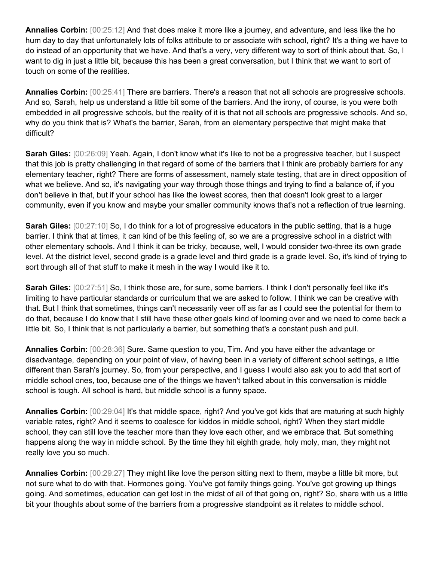**Annalies Corbin:** [00:25:12] And that does make it more like a journey, and adventure, and less like the ho hum day to day that unfortunately lots of folks attribute to or associate with school, right? It's a thing we have to do instead of an opportunity that we have. And that's a very, very different way to sort of think about that. So, I want to dig in just a little bit, because this has been a great conversation, but I think that we want to sort of touch on some of the realities.

**Annalies Corbin:** [00:25:41] There are barriers. There's a reason that not all schools are progressive schools. And so, Sarah, help us understand a little bit some of the barriers. And the irony, of course, is you were both embedded in all progressive schools, but the reality of it is that not all schools are progressive schools. And so, why do you think that is? What's the barrier, Sarah, from an elementary perspective that might make that difficult?

**Sarah Giles:** [00:26:09] Yeah. Again, I don't know what it's like to not be a progressive teacher, but I suspect that this job is pretty challenging in that regard of some of the barriers that I think are probably barriers for any elementary teacher, right? There are forms of assessment, namely state testing, that are in direct opposition of what we believe. And so, it's navigating your way through those things and trying to find a balance of, if you don't believe in that, but if your school has like the lowest scores, then that doesn't look great to a larger community, even if you know and maybe your smaller community knows that's not a reflection of true learning.

**Sarah Giles:** [00:27:10] So, I do think for a lot of progressive educators in the public setting, that is a huge barrier. I think that at times, it can kind of be this feeling of, so we are a progressive school in a district with other elementary schools. And I think it can be tricky, because, well, I would consider two-three its own grade level. At the district level, second grade is a grade level and third grade is a grade level. So, it's kind of trying to sort through all of that stuff to make it mesh in the way I would like it to.

**Sarah Giles:** [00:27:51] So, I think those are, for sure, some barriers. I think I don't personally feel like it's limiting to have particular standards or curriculum that we are asked to follow. I think we can be creative with that. But I think that sometimes, things can't necessarily veer off as far as I could see the potential for them to do that, because I do know that I still have these other goals kind of looming over and we need to come back a little bit. So, I think that is not particularly a barrier, but something that's a constant push and pull.

**Annalies Corbin:** [00:28:36] Sure. Same question to you, Tim. And you have either the advantage or disadvantage, depending on your point of view, of having been in a variety of different school settings, a little different than Sarah's journey. So, from your perspective, and I guess I would also ask you to add that sort of middle school ones, too, because one of the things we haven't talked about in this conversation is middle school is tough. All school is hard, but middle school is a funny space.

**Annalies Corbin:** [00:29:04] It's that middle space, right? And you've got kids that are maturing at such highly variable rates, right? And it seems to coalesce for kiddos in middle school, right? When they start middle school, they can still love the teacher more than they love each other, and we embrace that. But something happens along the way in middle school. By the time they hit eighth grade, holy moly, man, they might not really love you so much.

**Annalies Corbin:** [00:29:27] They might like love the person sitting next to them, maybe a little bit more, but not sure what to do with that. Hormones going. You've got family things going. You've got growing up things going. And sometimes, education can get lost in the midst of all of that going on, right? So, share with us a little bit your thoughts about some of the barriers from a progressive standpoint as it relates to middle school.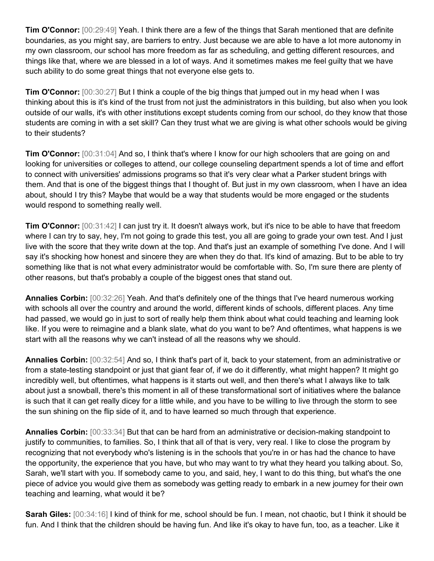**Tim O'Connor:** [00:29:49] Yeah. I think there are a few of the things that Sarah mentioned that are definite boundaries, as you might say, are barriers to entry. Just because we are able to have a lot more autonomy in my own classroom, our school has more freedom as far as scheduling, and getting different resources, and things like that, where we are blessed in a lot of ways. And it sometimes makes me feel guilty that we have such ability to do some great things that not everyone else gets to.

**Tim O'Connor:** [00:30:27] But I think a couple of the big things that jumped out in my head when I was thinking about this is it's kind of the trust from not just the administrators in this building, but also when you look outside of our walls, it's with other institutions except students coming from our school, do they know that those students are coming in with a set skill? Can they trust what we are giving is what other schools would be giving to their students?

**Tim O'Connor:** [00:31:04] And so, I think that's where I know for our high schoolers that are going on and looking for universities or colleges to attend, our college counseling department spends a lot of time and effort to connect with universities' admissions programs so that it's very clear what a Parker student brings with them. And that is one of the biggest things that I thought of. But just in my own classroom, when I have an idea about, should I try this? Maybe that would be a way that students would be more engaged or the students would respond to something really well.

**Tim O'Connor:** [00:31:42] I can just try it. It doesn't always work, but it's nice to be able to have that freedom where I can try to say, hey, I'm not going to grade this test, you all are going to grade your own test. And I just live with the score that they write down at the top. And that's just an example of something I've done. And I will say it's shocking how honest and sincere they are when they do that. It's kind of amazing. But to be able to try something like that is not what every administrator would be comfortable with. So, I'm sure there are plenty of other reasons, but that's probably a couple of the biggest ones that stand out.

**Annalies Corbin:** [00:32:26] Yeah. And that's definitely one of the things that I've heard numerous working with schools all over the country and around the world, different kinds of schools, different places. Any time had passed, we would go in just to sort of really help them think about what could teaching and learning look like. If you were to reimagine and a blank slate, what do you want to be? And oftentimes, what happens is we start with all the reasons why we can't instead of all the reasons why we should.

**Annalies Corbin:** [00:32:54] And so, I think that's part of it, back to your statement, from an administrative or from a state-testing standpoint or just that giant fear of, if we do it differently, what might happen? It might go incredibly well, but oftentimes, what happens is it starts out well, and then there's what I always like to talk about just a snowball, there's this moment in all of these transformational sort of initiatives where the balance is such that it can get really dicey for a little while, and you have to be willing to live through the storm to see the sun shining on the flip side of it, and to have learned so much through that experience.

**Annalies Corbin:** [00:33:34] But that can be hard from an administrative or decision-making standpoint to justify to communities, to families. So, I think that all of that is very, very real. I like to close the program by recognizing that not everybody who's listening is in the schools that you're in or has had the chance to have the opportunity, the experience that you have, but who may want to try what they heard you talking about. So, Sarah, we'll start with you. If somebody came to you, and said, hey, I want to do this thing, but what's the one piece of advice you would give them as somebody was getting ready to embark in a new journey for their own teaching and learning, what would it be?

**Sarah Giles:** [00:34:16] I kind of think for me, school should be fun. I mean, not chaotic, but I think it should be fun. And I think that the children should be having fun. And like it's okay to have fun, too, as a teacher. Like it